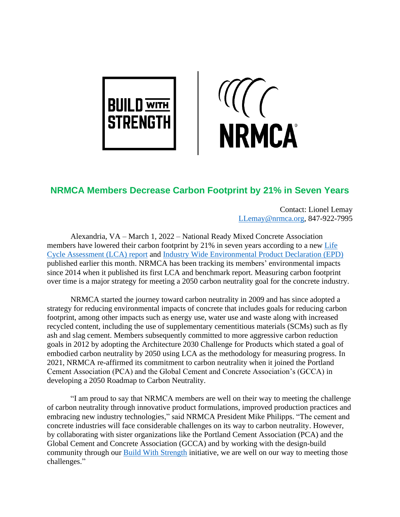

**NRMCA** 

## **NRMCA Members Decrease Carbon Footprint by 21% in Seven Years**

Contact: Lionel Lemay [LLemay@nrmca.org,](mailto:LLemay@nrmca.org) 847-922-7995

Alexandria, VA – March 1, 2022 – National Ready Mixed Concrete Association members have lowered their carbon footprint by 21% in seven years according to a new [Life](https://www.nrmca.org/wp-content/uploads/2022/02/NRMCA_LCAReportV3-2_20220224.pdf)  [Cycle Assessment \(LCA\) report](https://www.nrmca.org/wp-content/uploads/2022/02/NRMCA_LCAReportV3-2_20220224.pdf) and [Industry Wide Environmental Product Declaration \(EPD\)](https://www.nrmca.org/wp-content/uploads/2022/02/NRMCA_EPDV3-2_20220223.pdf) published earlier this month. NRMCA has been tracking its members' environmental impacts since 2014 when it published its first LCA and benchmark report. Measuring carbon footprint over time is a major strategy for meeting a 2050 carbon neutrality goal for the concrete industry.

NRMCA started the journey toward carbon neutrality in 2009 and has since adopted a strategy for reducing environmental impacts of concrete that includes goals for reducing carbon footprint, among other impacts such as energy use, water use and waste along with increased recycled content, including the use of supplementary cementitious materials (SCMs) such as fly ash and slag cement. Members subsequently committed to more aggressive carbon reduction goals in 2012 by adopting the Architecture 2030 Challenge for Products which stated a goal of embodied carbon neutrality by 2050 using LCA as the methodology for measuring progress. In 2021, NRMCA re-affirmed its commitment to carbon neutrality when it joined the Portland Cement Association (PCA) and the Global Cement and Concrete Association's (GCCA) in developing a 2050 Roadmap to Carbon Neutrality.

"I am proud to say that NRMCA members are well on their way to meeting the challenge of carbon neutrality through innovative product formulations, improved production practices and embracing new industry technologies," said NRMCA President Mike Philipps. "The cement and concrete industries will face considerable challenges on its way to carbon neutrality. However, by collaborating with sister organizations like the Portland Cement Association (PCA) and the Global Cement and Concrete Association (GCCA) and by working with the design-build community through our [Build With Strength](http://www.buildwithstrength.com/) initiative, we are well on our way to meeting those challenges."